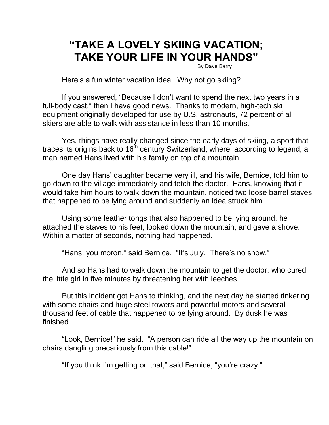## **"TAKE A LOVELY SKIING VACATION; TAKE YOUR LIFE IN YOUR HANDS"**

By Dave Barry

Here's a fun winter vacation idea: Why not go skiing?

If you answered, "Because I don't want to spend the next two years in a full-body cast," then I have good news. Thanks to modern, high-tech ski equipment originally developed for use by U.S. astronauts, 72 percent of all skiers are able to walk with assistance in less than 10 months.

Yes, things have really changed since the early days of skiing, a sport that traces its origins back to  $16<sup>th</sup>$  century Switzerland, where, according to legend, a man named Hans lived with his family on top of a mountain.

One day Hans' daughter became very ill, and his wife, Bernice, told him to go down to the village immediately and fetch the doctor. Hans, knowing that it would take him hours to walk down the mountain, noticed two loose barrel staves that happened to be lying around and suddenly an idea struck him.

Using some leather tongs that also happened to be lying around, he attached the staves to his feet, looked down the mountain, and gave a shove. Within a matter of seconds, nothing had happened.

"Hans, you moron," said Bernice. "It's July. There's no snow."

And so Hans had to walk down the mountain to get the doctor, who cured the little girl in five minutes by threatening her with leeches.

But this incident got Hans to thinking, and the next day he started tinkering with some chairs and huge steel towers and powerful motors and several thousand feet of cable that happened to be lying around. By dusk he was finished.

"Look, Bernice!" he said. "A person can ride all the way up the mountain on chairs dangling precariously from this cable!"

"If you think I'm getting on that," said Bernice, "you're crazy."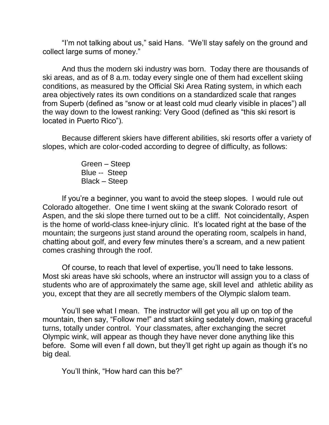"I'm not talking about us," said Hans. "We'll stay safely on the ground and collect large sums of money."

And thus the modern ski industry was born. Today there are thousands of ski areas, and as of 8 a.m. today every single one of them had excellent skiing conditions, as measured by the Official Ski Area Rating system, in which each area objectively rates its own conditions on a standardized scale that ranges from Superb (defined as "snow or at least cold mud clearly visible in places") all the way down to the lowest ranking: Very Good (defined as "this ski resort is located in Puerto Rico").

Because different skiers have different abilities, ski resorts offer a variety of slopes, which are color-coded according to degree of difficulty, as follows:

> Green – Steep Blue -- Steep Black – Steep

If you're a beginner, you want to avoid the steep slopes. I would rule out Colorado altogether. One time I went skiing at the swank Colorado resort of Aspen, and the ski slope there turned out to be a cliff. Not coincidentally, Aspen is the home of world-class knee-injury clinic. It's located right at the base of the mountain; the surgeons just stand around the operating room, scalpels in hand, chatting about golf, and every few minutes there's a scream, and a new patient comes crashing through the roof.

Of course, to reach that level of expertise, you'll need to take lessons. Most ski areas have ski schools, where an instructor will assign you to a class of students who are of approximately the same age, skill level and athletic ability as you, except that they are all secretly members of the Olympic slalom team.

You'll see what I mean. The instructor will get you all up on top of the mountain, then say, "Follow me!" and start skiing sedately down, making graceful turns, totally under control. Your classmates, after exchanging the secret Olympic wink, will appear as though they have never done anything like this before. Some will even f all down, but they'll get right up again as though it's no big deal.

You'll think, "How hard can this be?"